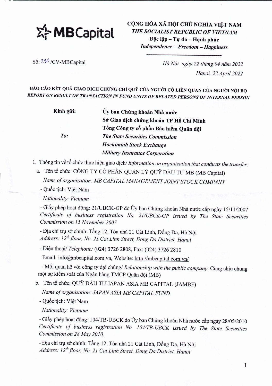

CỘNG HÒA XÃ HỘI CHỦ NGHĨA VIỆT NAM *THE SOCIALIST REPUBLIC OF VIETNAM*  $\hat{p}$ ộc lập - Tự do - Hanh phúc

*Independence - Freedom - Happiness* **--------------------------------------**

Số:  $290$  /CV-MBCapital *Hà Nội, ngày 22 tháng* 04 năm 2022 *Hanoi,* 22 *April 2022*

BÁO CÁO KÉT QUẢ GIAO DỊCH CHỨNG CHỈ QUỸ CỦA NGƯỜI CÓ LIÊN QUAN CỦA NGƯỜI NỘI BỘ *REPORT ON RESULT OF TRANSACTION IN FUND UNITS OF RELATED PERSONS OF INTERNAL PERSON*

> Ủy ban Chứng khoán Nhà nước Sở Giao dịch chứng khoán TP Hồ Chí Minh Tổng Công ty cổ phần Bảo hiểm Quân đội *The State Securities Commission Hochiminh Stock Exchange Military Insurance Corporation To:* Kính gửi:

1. Thông tin về tổ chức thực hiện giao dịch/ *Information on organization that conducts the transfer:* 

a. Tên tổ chức: CÔNG TY CỔ PHẦN QUẢN LÝ QUỸ ĐẦU TƯ MB (MB Capital) *Name oforganization: MB CAPITAL MANAGEMENT JOINT STOCK COMPANY*

- Quốc tịch: Việt Nam

*Nationality: Vietnam*

- Giấy phép hoạt động: 21/UBCK-GP do Ủy ban Chứng khoán Nhà nước cấp ngày 15/11/2007 *Certificate of business registration No. 21IUBCK-GP issued by The State Securities Commission on* 15*November 2007*

- Địa chỉ trụ sở chính: Tầng 12, Tòa nhà 21 Cát Linh, Đống Đa, Hà Nội *Address: 12thfloor, No.* 21 *Cat Linh Street, Dong Da District, Hanoi*

- Dien thoai/ *Telephone:* (024) 3726 2808, Fax: (024) 3726 2810

Email: info@mbcapital.com.vn, Website: http://mbcapital.com.vn/

- Mối quan hệ với công ty đại chúng/ *Relationship with the public company*: Cùng chịu chung một sự kiểm soát của Ngân hàng TMCP Quân đội (MB)

b. Tên tổ chức: QUỹ ĐẦU TƯ JAPAN ASIA MB CAPITAL (JAMBF)

*Name of organization: JAPAN ASIA MB CAPITAL FUND*

- Quốc tịch: Việt Nam

*Nationality: Vietnam*

- Giấy phép hoạt động: 104/TB-UBCK do Ủy ban Chứng khoán Nhà nước cấp ngày 28/05/2010 *Certificate of business registration No. 104ITB-UBCK issued by The State Securities Commission on* 28 *May 2010.*

- Địa chỉ trụ sở chính: Tầng 12, Tòa nhà 21 Cát Linh, Đống Đa, Hà Nội *Address: 12thfloor, No.* 21 *Cat Linh Street, Dong Da District, Hanoi*